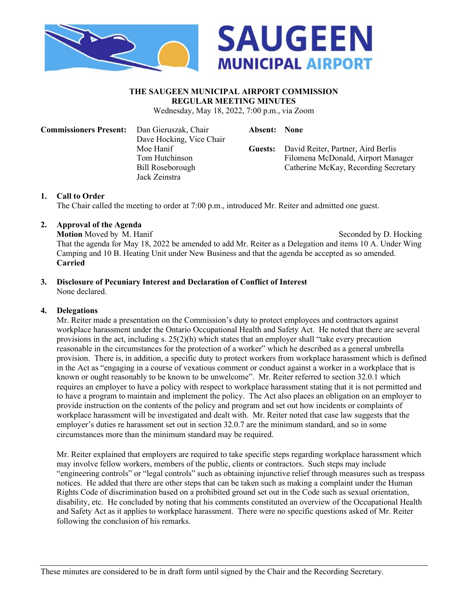

#### **THE SAUGEEN MUNICIPAL AIRPORT COMMISSION REGULAR MEETING MINUTES**

Wednesday, May 18, 2022, 7:00 p.m., via Zoom

Filomena McDonald, Airport Manager Catherine McKay, Recording Secretary

| <b>Commissioners Present:</b> Dan Gieruszak, Chair |                          | <b>Absent:</b> None |                                            |
|----------------------------------------------------|--------------------------|---------------------|--------------------------------------------|
|                                                    | Dave Hocking, Vice Chair |                     |                                            |
|                                                    | Moe Hanif                |                     | Guests: David Reiter, Partner, Aird Berlis |
|                                                    | Tom Hutchinson           |                     | Filomena McDonald, Airport Mar             |
|                                                    | Bill Roseborough         |                     | Catherine McKay, Recording Secr            |
|                                                    | Jack Zeinstra            |                     |                                            |
|                                                    |                          |                     |                                            |

## **1. Call to Order**

The Chair called the meeting to order at 7:00 p.m., introduced Mr. Reiter and admitted one guest.

#### **2. Approval of the Agenda**

**Motion** Moved by M. Hanif Seconded by D. Hocking That the agenda for May 18, 2022 be amended to add Mr. Reiter as a Delegation and items 10 A. Under Wing Camping and 10 B. Heating Unit under New Business and that the agenda be accepted as so amended. **Carried**

#### **3. Disclosure of Pecuniary Interest and Declaration of Conflict of Interest** None declared.

#### **4. Delegations**

Mr. Reiter made a presentation on the Commission's duty to protect employees and contractors against workplace harassment under the Ontario Occupational Health and Safety Act. He noted that there are several provisions in the act, including s.  $25(2)(h)$  which states that an employer shall "take every precaution" reasonable in the circumstances for the protection of a worker" which he described as a general umbrella provision. There is, in addition, a specific duty to protect workers from workplace harassment which is defined in the Act as "engaging in a course of vexatious comment or conduct against a worker in a workplace that is known or ought reasonably to be known to be unwelcome". Mr. Reiter referred to section 32.0.1 which requires an employer to have a policy with respect to workplace harassment stating that it is not permitted and to have a program to maintain and implement the policy. The Act also places an obligation on an employer to provide instruction on the contents of the policy and program and set out how incidents or complaints of workplace harassment will be investigated and dealt with. Mr. Reiter noted that case law suggests that the employer's duties re harassment set out in section 32.0.7 are the minimum standard, and so in some circumstances more than the minimum standard may be required.

Mr. Reiter explained that employers are required to take specific steps regarding workplace harassment which may involve fellow workers, members of the public, clients or contractors. Such steps may include "engineering controls" or "legal controls" such as obtaining injunctive relief through measures such as trespass notices. He added that there are other steps that can be taken such as making a complaint under the Human Rights Code of discrimination based on a prohibited ground set out in the Code such as sexual orientation, disability, etc. He concluded by noting that his comments constituted an overview of the Occupational Health and Safety Act as it applies to workplace harassment. There were no specific questions asked of Mr. Reiter following the conclusion of his remarks.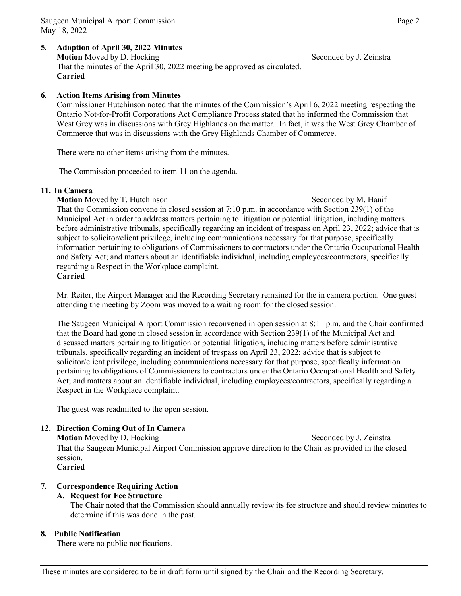#### **5. Adoption of April 30, 2022 Minutes Motion** Moved by D. Hocking Seconded by J. Zeinstra That the minutes of the April 30, 2022 meeting be approved as circulated. **Carried**

## **6. Action Items Arising from Minutes**

Commissioner Hutchinson noted that the minutes of the Commission's April 6, 2022 meeting respecting the Ontario Not-for-Profit Corporations Act Compliance Process stated that he informed the Commission that West Grey was in discussions with Grey Highlands on the matter. In fact, it was the West Grey Chamber of Commerce that was in discussions with the Grey Highlands Chamber of Commerce.

There were no other items arising from the minutes.

The Commission proceeded to item 11 on the agenda.

#### **11. In Camera**

**Motion** Moved by T. Hutchinson Seconded by M. Hanif

That the Commission convene in closed session at 7:10 p.m. in accordance with Section 239(1) of the Municipal Act in order to address matters pertaining to litigation or potential litigation, including matters before administrative tribunals, specifically regarding an incident of trespass on April 23, 2022; advice that is subject to solicitor/client privilege, including communications necessary for that purpose, specifically information pertaining to obligations of Commissioners to contractors under the Ontario Occupational Health and Safety Act; and matters about an identifiable individual, including employees/contractors, specifically regarding a Respect in the Workplace complaint. **Carried**

Mr. Reiter, the Airport Manager and the Recording Secretary remained for the in camera portion. One guest attending the meeting by Zoom was moved to a waiting room for the closed session.

The Saugeen Municipal Airport Commission reconvened in open session at 8:11 p.m. and the Chair confirmed that the Board had gone in closed session in accordance with Section 239(1) of the Municipal Act and discussed matters pertaining to litigation or potential litigation, including matters before administrative tribunals, specifically regarding an incident of trespass on April 23, 2022; advice that is subject to solicitor/client privilege, including communications necessary for that purpose, specifically information pertaining to obligations of Commissioners to contractors under the Ontario Occupational Health and Safety Act; and matters about an identifiable individual, including employees/contractors, specifically regarding a Respect in the Workplace complaint.

The guest was readmitted to the open session.

#### **12. Direction Coming Out of In Camera**

**Motion** Moved by D. Hocking Seconded by J. Zeinstra That the Saugeen Municipal Airport Commission approve direction to the Chair as provided in the closed session. **Carried**

## **7. Correspondence Requiring Action**

## **A. Request for Fee Structure**

The Chair noted that the Commission should annually review its fee structure and should review minutes to determine if this was done in the past.

#### **8. Public Notification**

There were no public notifications.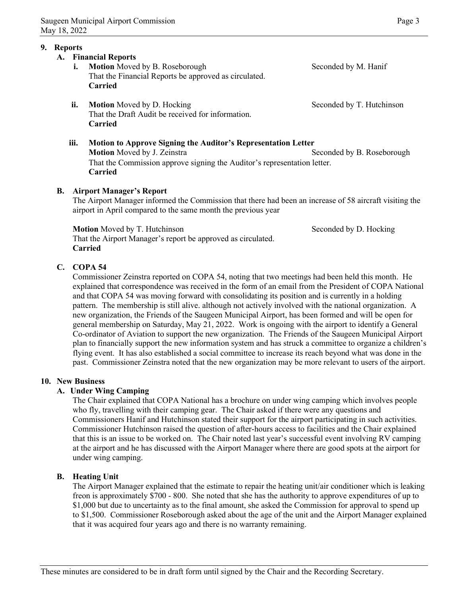#### **9. Reports**

# **A. Financial Reports**

- **i. Motion** Moved by B. Roseborough Seconded by M. Hanif That the Financial Reports be approved as circulated. **Carried**
- **ii. Motion** Moved by D. Hocking Seconded by T. Hutchinson That the Draft Audit be received for information. **Carried**
- **iii. Motion to Approve Signing the Auditor's Representation Letter Motion** Moved by J. Zeinstra Seconded by B. Roseborough That the Commission approve signing the Auditor's representation letter. **Carried**

## **B. Airport Manager's Report**

The Airport Manager informed the Commission that there had been an increase of 58 aircraft visiting the airport in April compared to the same month the previous year

**Motion** Moved by T. Hutchinson Seconded by D. Hocking That the Airport Manager's report be approved as circulated. **Carried**

# **C. COPA 54**

Commissioner Zeinstra reported on COPA 54, noting that two meetings had been held this month. He explained that correspondence was received in the form of an email from the President of COPA National and that COPA 54 was moving forward with consolidating its position and is currently in a holding pattern. The membership is still alive. although not actively involved with the national organization. A new organization, the Friends of the Saugeen Municipal Airport, has been formed and will be open for general membership on Saturday, May 21, 2022. Work is ongoing with the airport to identify a General Co-ordinator of Aviation to support the new organization. The Friends of the Saugeen Municipal Airport plan to financially support the new information system and has struck a committee to organize a children's flying event. It has also established a social committee to increase its reach beyond what was done in the past. Commissioner Zeinstra noted that the new organization may be more relevant to users of the airport.

#### **10. New Business**

#### **A. Under Wing Camping**

The Chair explained that COPA National has a brochure on under wing camping which involves people who fly, travelling with their camping gear. The Chair asked if there were any questions and Commissioners Hanif and Hutchinson stated their support for the airport participating in such activities. Commissioner Hutchinson raised the question of after-hours access to facilities and the Chair explained that this is an issue to be worked on. The Chair noted last year's successful event involving RV camping at the airport and he has discussed with the Airport Manager where there are good spots at the airport for under wing camping.

#### **B. Heating Unit**

The Airport Manager explained that the estimate to repair the heating unit/air conditioner which is leaking freon is approximately \$700 - 800. She noted that she has the authority to approve expenditures of up to \$1,000 but due to uncertainty as to the final amount, she asked the Commission for approval to spend up to \$1,500. Commissioner Roseborough asked about the age of the unit and the Airport Manager explained that it was acquired four years ago and there is no warranty remaining.